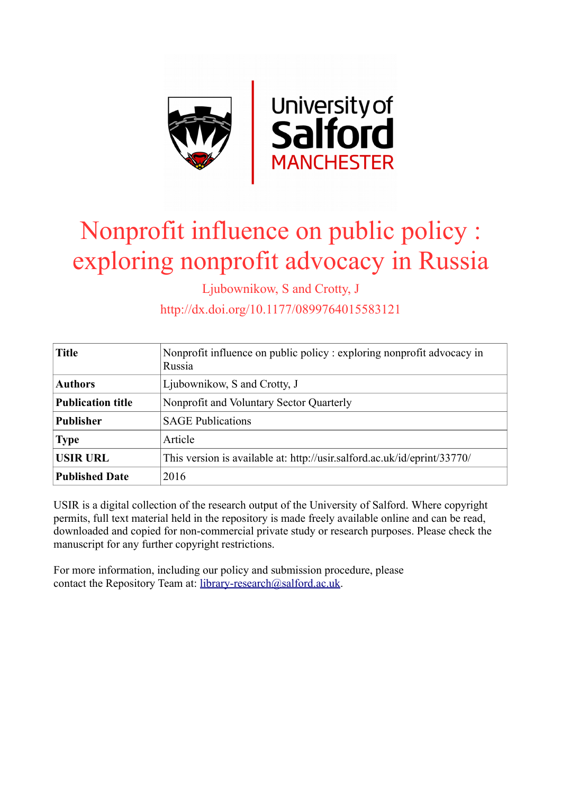

# Nonprofit influence on public policy : exploring nonprofit advocacy in Russia

Ljubownikow, S and Crotty, J

http://dx.doi.org/10.1177/0899764015583121

| <b>Title</b>             | Nonprofit influence on public policy: exploring nonprofit advocacy in<br>Russia |  |
|--------------------------|---------------------------------------------------------------------------------|--|
| <b>Authors</b>           | Ljubownikow, S and Crotty, J                                                    |  |
| <b>Publication title</b> | Nonprofit and Voluntary Sector Quarterly                                        |  |
| <b>Publisher</b>         | <b>SAGE Publications</b>                                                        |  |
| <b>Type</b>              | Article                                                                         |  |
| <b>USIR URL</b>          | This version is available at: http://usir.salford.ac.uk/id/eprint/33770/        |  |
| <b>Published Date</b>    | 2016                                                                            |  |

USIR is a digital collection of the research output of the University of Salford. Where copyright permits, full text material held in the repository is made freely available online and can be read, downloaded and copied for non-commercial private study or research purposes. Please check the manuscript for any further copyright restrictions.

For more information, including our policy and submission procedure, please contact the Repository Team at: [library-research@salford.ac.uk.](mailto:library-research@salford.ac.uk)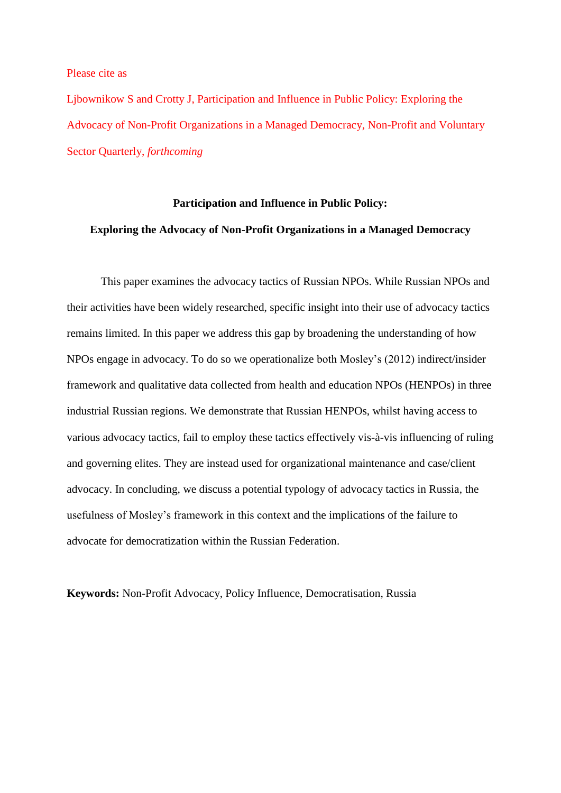Please cite as

Ljbownikow S and Crotty J, Participation and Influence in Public Policy: Exploring the Advocacy of Non-Profit Organizations in a Managed Democracy, Non-Profit and Voluntary Sector Quarterly, *forthcoming*

## **Participation and Influence in Public Policy: Exploring the Advocacy of Non-Profit Organizations in a Managed Democracy**

This paper examines the advocacy tactics of Russian NPOs. While Russian NPOs and their activities have been widely researched, specific insight into their use of advocacy tactics remains limited. In this paper we address this gap by broadening the understanding of how NPOs engage in advocacy. To do so we operationalize both Mosley's (2012) indirect/insider framework and qualitative data collected from health and education NPOs (HENPOs) in three industrial Russian regions. We demonstrate that Russian HENPOs, whilst having access to various advocacy tactics, fail to employ these tactics effectively vis-à-vis influencing of ruling and governing elites. They are instead used for organizational maintenance and case/client advocacy. In concluding, we discuss a potential typology of advocacy tactics in Russia, the usefulness of Mosley's framework in this context and the implications of the failure to advocate for democratization within the Russian Federation.

**Keywords:** Non-Profit Advocacy, Policy Influence, Democratisation, Russia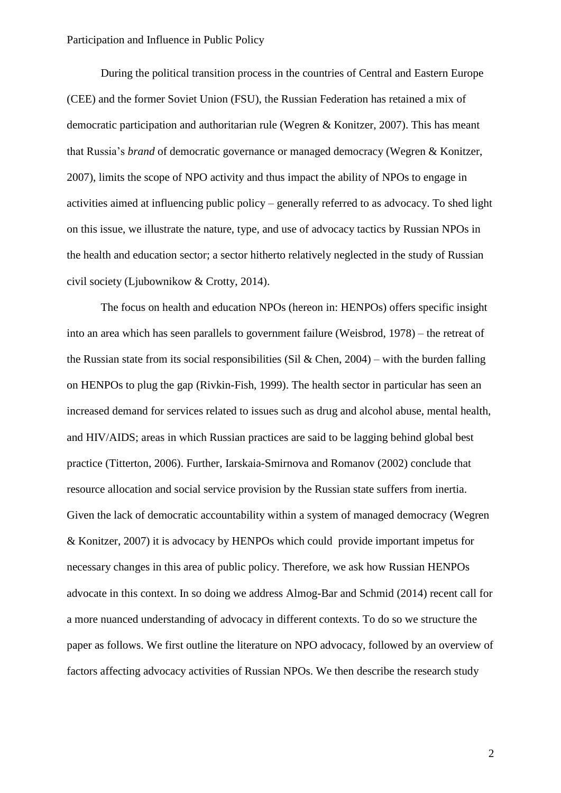During the political transition process in the countries of Central and Eastern Europe (CEE) and the former Soviet Union (FSU), the Russian Federation has retained a mix of democratic participation and authoritarian rule (Wegren & Konitzer, 2007). This has meant that Russia's *brand* of democratic governance or managed democracy (Wegren & Konitzer, 2007), limits the scope of NPO activity and thus impact the ability of NPOs to engage in activities aimed at influencing public policy – generally referred to as advocacy. To shed light on this issue, we illustrate the nature, type, and use of advocacy tactics by Russian NPOs in the health and education sector; a sector hitherto relatively neglected in the study of Russian civil society (Ljubownikow & Crotty, 2014).

The focus on health and education NPOs (hereon in: HENPOs) offers specific insight into an area which has seen parallels to government failure (Weisbrod, 1978) – the retreat of the Russian state from its social responsibilities (Sil & Chen, 2004) – with the burden falling on HENPOs to plug the gap (Rivkin-Fish, 1999). The health sector in particular has seen an increased demand for services related to issues such as drug and alcohol abuse, mental health, and HIV/AIDS; areas in which Russian practices are said to be lagging behind global best practice (Titterton, 2006). Further, Iarskaia-Smirnova and Romanov (2002) conclude that resource allocation and social service provision by the Russian state suffers from inertia. Given the lack of democratic accountability within a system of managed democracy (Wegren & Konitzer, 2007) it is advocacy by HENPOs which could provide important impetus for necessary changes in this area of public policy. Therefore, we ask how Russian HENPOs advocate in this context. In so doing we address Almog-Bar and Schmid (2014) recent call for a more nuanced understanding of advocacy in different contexts. To do so we structure the paper as follows. We first outline the literature on NPO advocacy, followed by an overview of factors affecting advocacy activities of Russian NPOs. We then describe the research study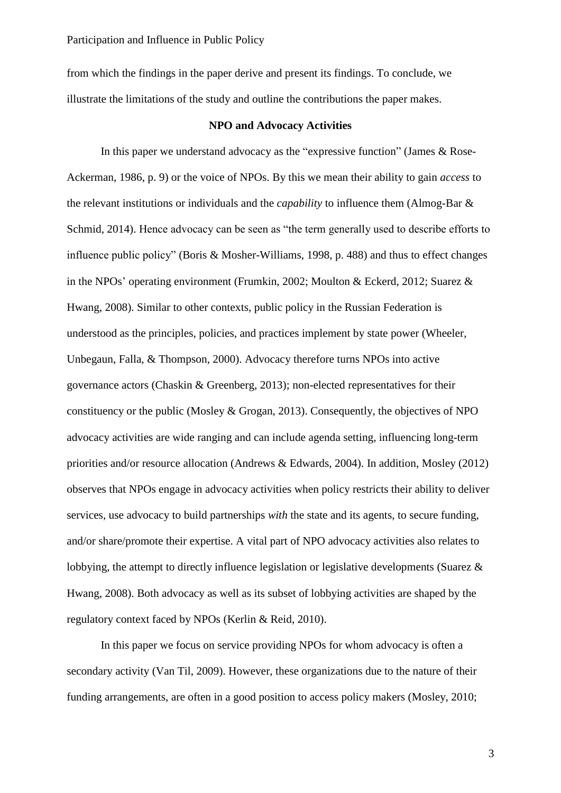from which the findings in the paper derive and present its findings. To conclude, we illustrate the limitations of the study and outline the contributions the paper makes.

#### **NPO and Advocacy Activities**

In this paper we understand advocacy as the "expressive function" (James & Rose-Ackerman, 1986, p. 9) or the voice of NPOs. By this we mean their ability to gain *access* to the relevant institutions or individuals and the *capability* to influence them (Almog-Bar & Schmid, 2014). Hence advocacy can be seen as "the term generally used to describe efforts to influence public policy" (Boris & Mosher-Williams, 1998, p. 488) and thus to effect changes in the NPOs' operating environment (Frumkin, 2002; Moulton & Eckerd, 2012; Suarez & Hwang, 2008). Similar to other contexts, public policy in the Russian Federation is understood as the principles, policies, and practices implement by state power (Wheeler, Unbegaun, Falla, & Thompson, 2000). Advocacy therefore turns NPOs into active governance actors (Chaskin & Greenberg, 2013); non-elected representatives for their constituency or the public (Mosley & Grogan, 2013). Consequently, the objectives of NPO advocacy activities are wide ranging and can include agenda setting, influencing long-term priorities and/or resource allocation (Andrews & Edwards, 2004). In addition, Mosley (2012) observes that NPOs engage in advocacy activities when policy restricts their ability to deliver services, use advocacy to build partnerships *with* the state and its agents, to secure funding, and/or share/promote their expertise. A vital part of NPO advocacy activities also relates to lobbying, the attempt to directly influence legislation or legislative developments (Suarez & Hwang, 2008). Both advocacy as well as its subset of lobbying activities are shaped by the regulatory context faced by NPOs (Kerlin & Reid, 2010).

In this paper we focus on service providing NPOs for whom advocacy is often a secondary activity (Van Til, 2009). However, these organizations due to the nature of their funding arrangements, are often in a good position to access policy makers (Mosley, 2010;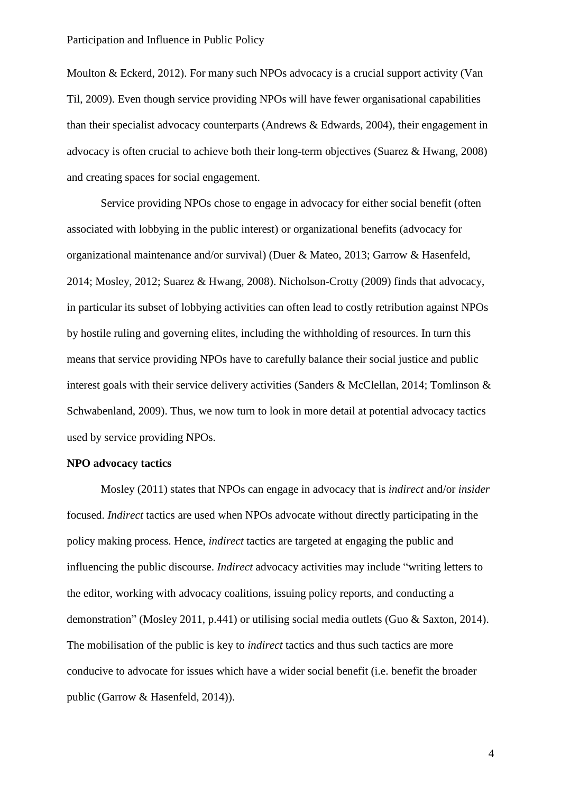Moulton & Eckerd, 2012). For many such NPOs advocacy is a crucial support activity (Van Til, 2009). Even though service providing NPOs will have fewer organisational capabilities than their specialist advocacy counterparts (Andrews & Edwards, 2004), their engagement in advocacy is often crucial to achieve both their long-term objectives (Suarez & Hwang, 2008) and creating spaces for social engagement.

Service providing NPOs chose to engage in advocacy for either social benefit (often associated with lobbying in the public interest) or organizational benefits (advocacy for organizational maintenance and/or survival) (Duer & Mateo, 2013; Garrow & Hasenfeld, 2014; Mosley, 2012; Suarez & Hwang, 2008). Nicholson-Crotty (2009) finds that advocacy, in particular its subset of lobbying activities can often lead to costly retribution against NPOs by hostile ruling and governing elites, including the withholding of resources. In turn this means that service providing NPOs have to carefully balance their social justice and public interest goals with their service delivery activities (Sanders & McClellan, 2014; Tomlinson & Schwabenland, 2009). Thus, we now turn to look in more detail at potential advocacy tactics used by service providing NPOs.

#### **NPO advocacy tactics**

Mosley (2011) states that NPOs can engage in advocacy that is *indirect* and/or *insider* focused. *Indirect* tactics are used when NPOs advocate without directly participating in the policy making process. Hence, *indirect* tactics are targeted at engaging the public and influencing the public discourse. *Indirect* advocacy activities may include "writing letters to the editor, working with advocacy coalitions, issuing policy reports, and conducting a demonstration" (Mosley 2011, p.441) or utilising social media outlets (Guo & Saxton, 2014). The mobilisation of the public is key to *indirect* tactics and thus such tactics are more conducive to advocate for issues which have a wider social benefit (i.e. benefit the broader public (Garrow & Hasenfeld, 2014)).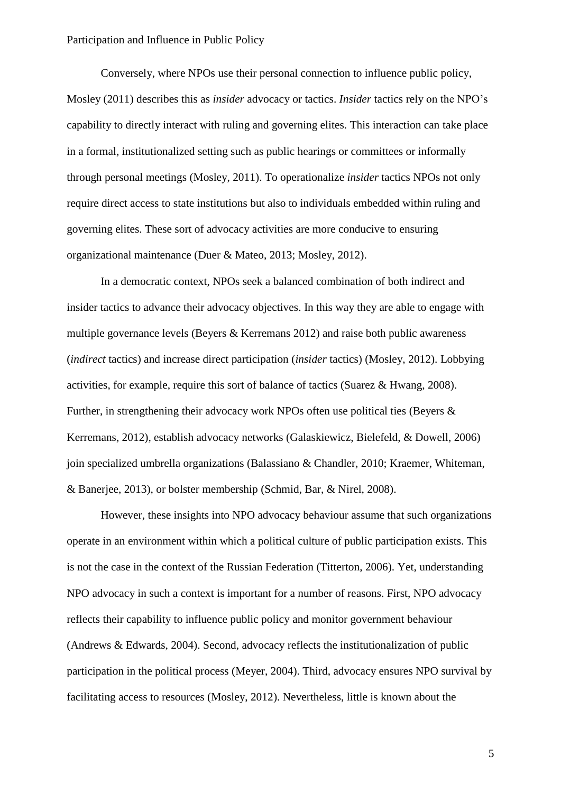Conversely, where NPOs use their personal connection to influence public policy, Mosley (2011) describes this as *insider* advocacy or tactics. *Insider* tactics rely on the NPO's capability to directly interact with ruling and governing elites. This interaction can take place in a formal, institutionalized setting such as public hearings or committees or informally through personal meetings (Mosley, 2011). To operationalize *insider* tactics NPOs not only require direct access to state institutions but also to individuals embedded within ruling and governing elites. These sort of advocacy activities are more conducive to ensuring organizational maintenance (Duer & Mateo, 2013; Mosley, 2012).

In a democratic context, NPOs seek a balanced combination of both indirect and insider tactics to advance their advocacy objectives. In this way they are able to engage with multiple governance levels (Beyers & Kerremans 2012) and raise both public awareness (*indirect* tactics) and increase direct participation (*insider* tactics) (Mosley, 2012). Lobbying activities, for example, require this sort of balance of tactics (Suarez & Hwang, 2008). Further, in strengthening their advocacy work NPOs often use political ties (Beyers & Kerremans, 2012), establish advocacy networks (Galaskiewicz, Bielefeld, & Dowell, 2006) join specialized umbrella organizations (Balassiano & Chandler, 2010; Kraemer, Whiteman, & Banerjee, 2013), or bolster membership (Schmid, Bar, & Nirel, 2008).

However, these insights into NPO advocacy behaviour assume that such organizations operate in an environment within which a political culture of public participation exists. This is not the case in the context of the Russian Federation (Titterton, 2006). Yet, understanding NPO advocacy in such a context is important for a number of reasons. First, NPO advocacy reflects their capability to influence public policy and monitor government behaviour (Andrews & Edwards, 2004). Second, advocacy reflects the institutionalization of public participation in the political process (Meyer, 2004). Third, advocacy ensures NPO survival by facilitating access to resources (Mosley, 2012). Nevertheless, little is known about the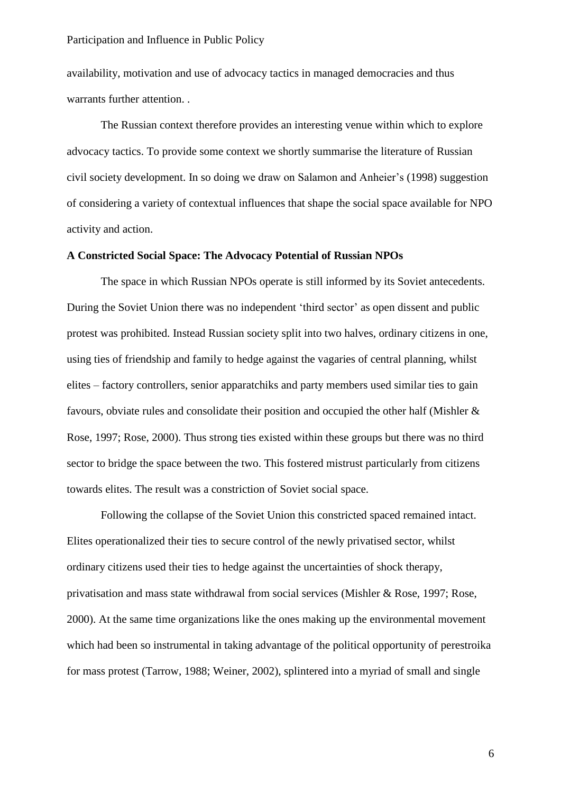availability, motivation and use of advocacy tactics in managed democracies and thus warrants further attention. .

The Russian context therefore provides an interesting venue within which to explore advocacy tactics. To provide some context we shortly summarise the literature of Russian civil society development. In so doing we draw on Salamon and Anheier's (1998) suggestion of considering a variety of contextual influences that shape the social space available for NPO activity and action.

#### **A Constricted Social Space: The Advocacy Potential of Russian NPOs**

The space in which Russian NPOs operate is still informed by its Soviet antecedents. During the Soviet Union there was no independent 'third sector' as open dissent and public protest was prohibited. Instead Russian society split into two halves, ordinary citizens in one, using ties of friendship and family to hedge against the vagaries of central planning, whilst elites – factory controllers, senior apparatchiks and party members used similar ties to gain favours, obviate rules and consolidate their position and occupied the other half (Mishler & Rose, 1997; Rose, 2000). Thus strong ties existed within these groups but there was no third sector to bridge the space between the two. This fostered mistrust particularly from citizens towards elites. The result was a constriction of Soviet social space.

Following the collapse of the Soviet Union this constricted spaced remained intact. Elites operationalized their ties to secure control of the newly privatised sector, whilst ordinary citizens used their ties to hedge against the uncertainties of shock therapy, privatisation and mass state withdrawal from social services (Mishler & Rose, 1997; Rose, 2000). At the same time organizations like the ones making up the environmental movement which had been so instrumental in taking advantage of the political opportunity of perestroika for mass protest (Tarrow, 1988; Weiner, 2002), splintered into a myriad of small and single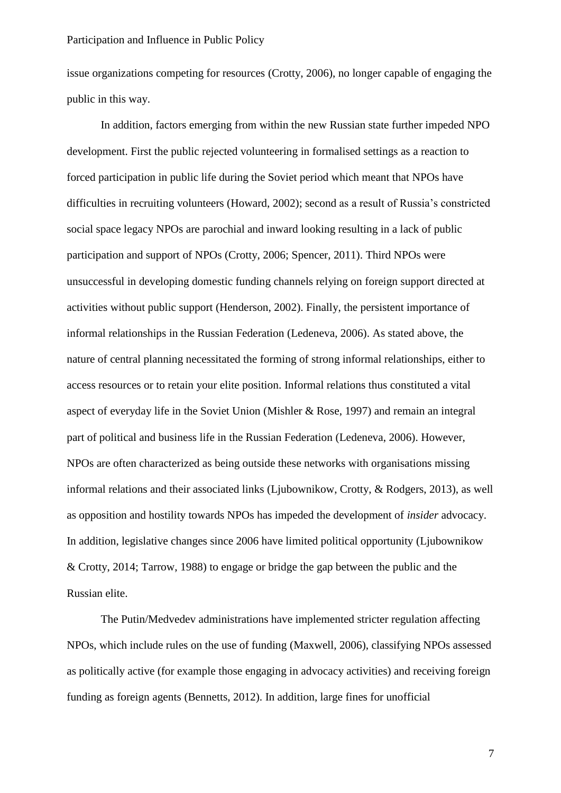issue organizations competing for resources (Crotty, 2006), no longer capable of engaging the public in this way.

In addition, factors emerging from within the new Russian state further impeded NPO development. First the public rejected volunteering in formalised settings as a reaction to forced participation in public life during the Soviet period which meant that NPOs have difficulties in recruiting volunteers (Howard, 2002); second as a result of Russia's constricted social space legacy NPOs are parochial and inward looking resulting in a lack of public participation and support of NPOs (Crotty, 2006; Spencer, 2011). Third NPOs were unsuccessful in developing domestic funding channels relying on foreign support directed at activities without public support (Henderson, 2002). Finally, the persistent importance of informal relationships in the Russian Federation (Ledeneva, 2006). As stated above, the nature of central planning necessitated the forming of strong informal relationships, either to access resources or to retain your elite position. Informal relations thus constituted a vital aspect of everyday life in the Soviet Union (Mishler & Rose, 1997) and remain an integral part of political and business life in the Russian Federation (Ledeneva, 2006). However, NPOs are often characterized as being outside these networks with organisations missing informal relations and their associated links (Ljubownikow, Crotty, & Rodgers, 2013), as well as opposition and hostility towards NPOs has impeded the development of *insider* advocacy. In addition, legislative changes since 2006 have limited political opportunity (Ljubownikow & Crotty, 2014; Tarrow, 1988) to engage or bridge the gap between the public and the Russian elite.

The Putin/Medvedev administrations have implemented stricter regulation affecting NPOs, which include rules on the use of funding (Maxwell, 2006), classifying NPOs assessed as politically active (for example those engaging in advocacy activities) and receiving foreign funding as foreign agents (Bennetts, 2012). In addition, large fines for unofficial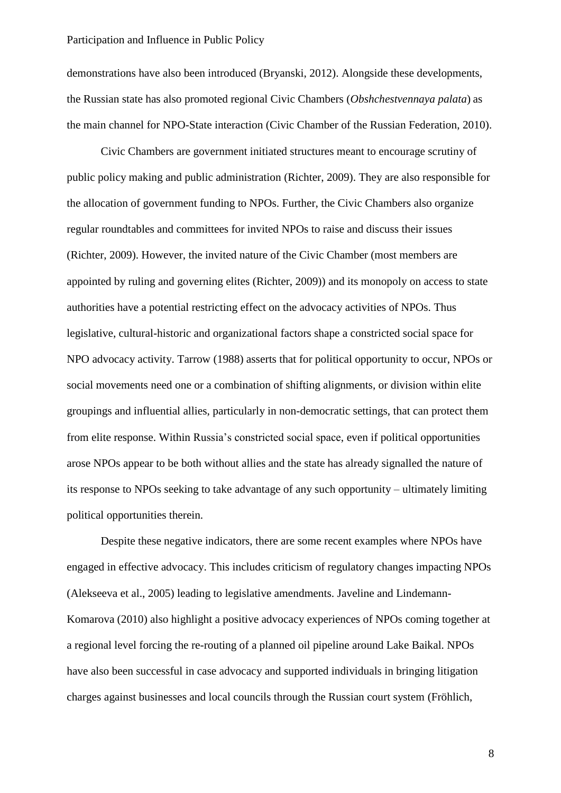demonstrations have also been introduced (Bryanski, 2012). Alongside these developments, the Russian state has also promoted regional Civic Chambers (*Obshchestvennaya palata*) as the main channel for NPO-State interaction (Civic Chamber of the Russian Federation, 2010).

Civic Chambers are government initiated structures meant to encourage scrutiny of public policy making and public administration (Richter, 2009). They are also responsible for the allocation of government funding to NPOs. Further, the Civic Chambers also organize regular roundtables and committees for invited NPOs to raise and discuss their issues (Richter, 2009). However, the invited nature of the Civic Chamber (most members are appointed by ruling and governing elites (Richter, 2009)) and its monopoly on access to state authorities have a potential restricting effect on the advocacy activities of NPOs. Thus legislative, cultural-historic and organizational factors shape a constricted social space for NPO advocacy activity. Tarrow (1988) asserts that for political opportunity to occur, NPOs or social movements need one or a combination of shifting alignments, or division within elite groupings and influential allies, particularly in non-democratic settings, that can protect them from elite response. Within Russia's constricted social space, even if political opportunities arose NPOs appear to be both without allies and the state has already signalled the nature of its response to NPOs seeking to take advantage of any such opportunity – ultimately limiting political opportunities therein.

Despite these negative indicators, there are some recent examples where NPOs have engaged in effective advocacy. This includes criticism of regulatory changes impacting NPOs (Alekseeva et al., 2005) leading to legislative amendments. Javeline and Lindemann-Komarova (2010) also highlight a positive advocacy experiences of NPOs coming together at a regional level forcing the re-routing of a planned oil pipeline around Lake Baikal. NPOs have also been successful in case advocacy and supported individuals in bringing litigation charges against businesses and local councils through the Russian court system (Fröhlich,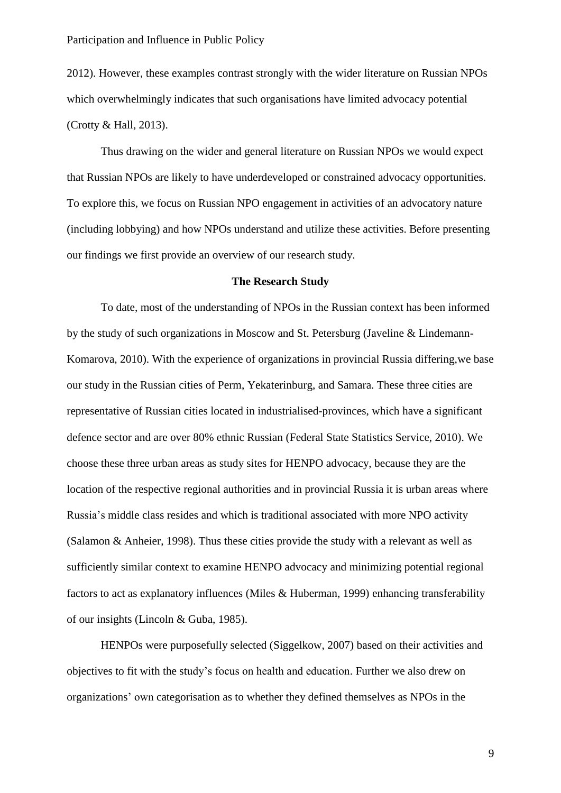2012). However, these examples contrast strongly with the wider literature on Russian NPOs which overwhelmingly indicates that such organisations have limited advocacy potential (Crotty & Hall, 2013).

Thus drawing on the wider and general literature on Russian NPOs we would expect that Russian NPOs are likely to have underdeveloped or constrained advocacy opportunities. To explore this, we focus on Russian NPO engagement in activities of an advocatory nature (including lobbying) and how NPOs understand and utilize these activities. Before presenting our findings we first provide an overview of our research study.

#### **The Research Study**

To date, most of the understanding of NPOs in the Russian context has been informed by the study of such organizations in Moscow and St. Petersburg (Javeline & Lindemann-Komarova, 2010). With the experience of organizations in provincial Russia differing,we base our study in the Russian cities of Perm, Yekaterinburg, and Samara. These three cities are representative of Russian cities located in industrialised-provinces, which have a significant defence sector and are over 80% ethnic Russian (Federal State Statistics Service, 2010). We choose these three urban areas as study sites for HENPO advocacy, because they are the location of the respective regional authorities and in provincial Russia it is urban areas where Russia's middle class resides and which is traditional associated with more NPO activity (Salamon & Anheier, 1998). Thus these cities provide the study with a relevant as well as sufficiently similar context to examine HENPO advocacy and minimizing potential regional factors to act as explanatory influences (Miles & Huberman, 1999) enhancing transferability of our insights (Lincoln & Guba, 1985).

HENPOs were purposefully selected (Siggelkow, 2007) based on their activities and objectives to fit with the study's focus on health and education. Further we also drew on organizations' own categorisation as to whether they defined themselves as NPOs in the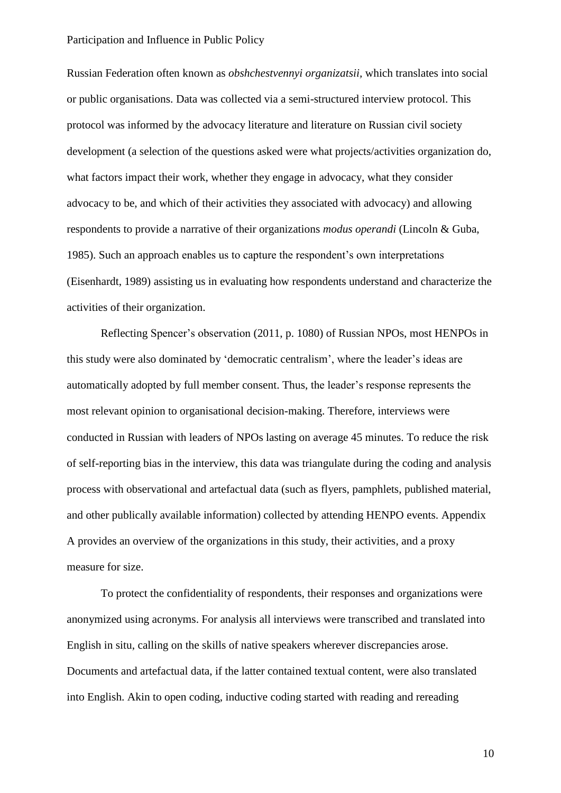Russian Federation often known as *obshchestvennyi organizatsii,* which translates into social or public organisations. Data was collected via a semi-structured interview protocol. This protocol was informed by the advocacy literature and literature on Russian civil society development (a selection of the questions asked were what projects/activities organization do, what factors impact their work, whether they engage in advocacy, what they consider advocacy to be, and which of their activities they associated with advocacy) and allowing respondents to provide a narrative of their organizations *modus operandi* (Lincoln & Guba, 1985). Such an approach enables us to capture the respondent's own interpretations (Eisenhardt, 1989) assisting us in evaluating how respondents understand and characterize the activities of their organization.

Reflecting Spencer's observation (2011, p. 1080) of Russian NPOs, most HENPOs in this study were also dominated by 'democratic centralism', where the leader's ideas are automatically adopted by full member consent. Thus, the leader's response represents the most relevant opinion to organisational decision-making. Therefore, interviews were conducted in Russian with leaders of NPOs lasting on average 45 minutes. To reduce the risk of self-reporting bias in the interview, this data was triangulate during the coding and analysis process with observational and artefactual data (such as flyers, pamphlets, published material, and other publically available information) collected by attending HENPO events. Appendix A provides an overview of the organizations in this study, their activities, and a proxy measure for size.

To protect the confidentiality of respondents, their responses and organizations were anonymized using acronyms. For analysis all interviews were transcribed and translated into English in situ, calling on the skills of native speakers wherever discrepancies arose. Documents and artefactual data, if the latter contained textual content, were also translated into English. Akin to open coding, inductive coding started with reading and rereading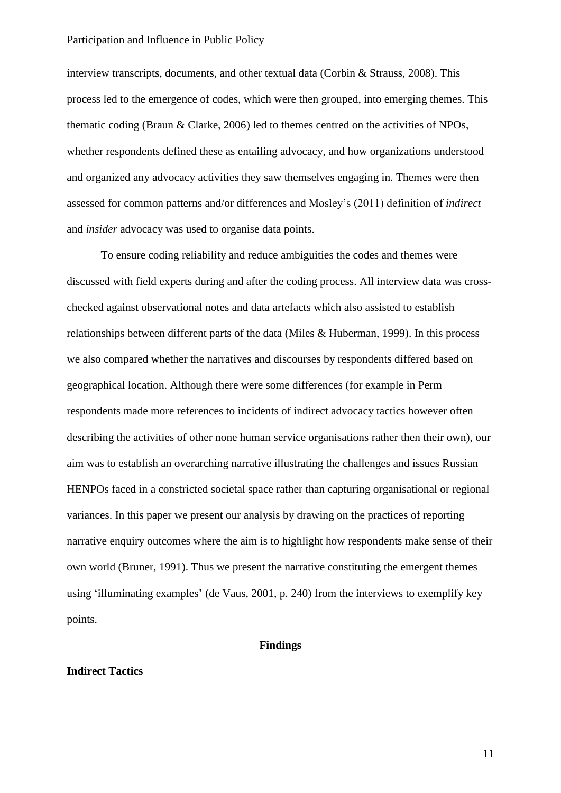interview transcripts, documents, and other textual data (Corbin & Strauss, 2008). This process led to the emergence of codes, which were then grouped, into emerging themes. This thematic coding (Braun & Clarke, 2006) led to themes centred on the activities of NPOs, whether respondents defined these as entailing advocacy, and how organizations understood and organized any advocacy activities they saw themselves engaging in. Themes were then assessed for common patterns and/or differences and Mosley's (2011) definition of *indirect* and *insider* advocacy was used to organise data points.

To ensure coding reliability and reduce ambiguities the codes and themes were discussed with field experts during and after the coding process. All interview data was crosschecked against observational notes and data artefacts which also assisted to establish relationships between different parts of the data (Miles & Huberman, 1999). In this process we also compared whether the narratives and discourses by respondents differed based on geographical location. Although there were some differences (for example in Perm respondents made more references to incidents of indirect advocacy tactics however often describing the activities of other none human service organisations rather then their own), our aim was to establish an overarching narrative illustrating the challenges and issues Russian HENPOs faced in a constricted societal space rather than capturing organisational or regional variances. In this paper we present our analysis by drawing on the practices of reporting narrative enquiry outcomes where the aim is to highlight how respondents make sense of their own world (Bruner, 1991). Thus we present the narrative constituting the emergent themes using 'illuminating examples' (de Vaus, 2001, p. 240) from the interviews to exemplify key points.

#### **Findings**

#### **Indirect Tactics**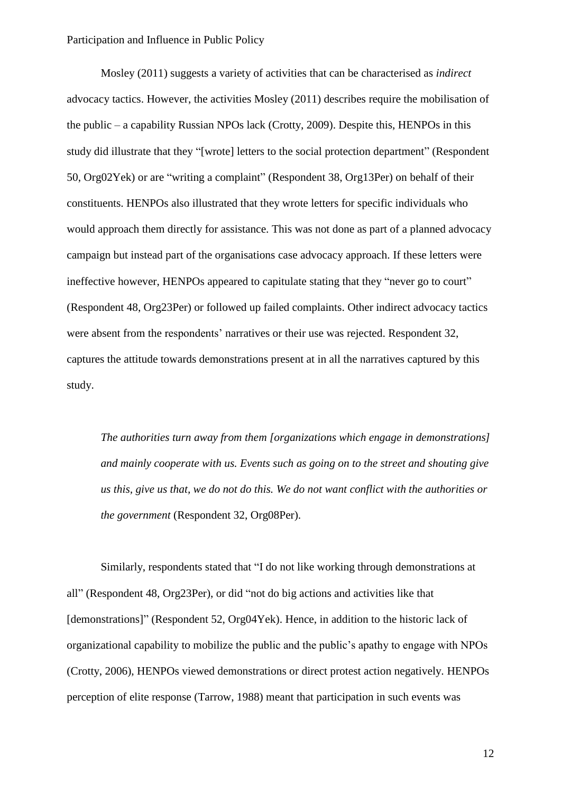Mosley (2011) suggests a variety of activities that can be characterised as *indirect*  advocacy tactics. However, the activities Mosley (2011) describes require the mobilisation of the public – a capability Russian NPOs lack (Crotty, 2009). Despite this, HENPOs in this study did illustrate that they "[wrote] letters to the social protection department" (Respondent 50, Org02Yek) or are "writing a complaint" (Respondent 38, Org13Per) on behalf of their constituents. HENPOs also illustrated that they wrote letters for specific individuals who would approach them directly for assistance. This was not done as part of a planned advocacy campaign but instead part of the organisations case advocacy approach. If these letters were ineffective however, HENPOs appeared to capitulate stating that they "never go to court" (Respondent 48, Org23Per) or followed up failed complaints. Other indirect advocacy tactics were absent from the respondents' narratives or their use was rejected. Respondent 32, captures the attitude towards demonstrations present at in all the narratives captured by this study.

*The authorities turn away from them [organizations which engage in demonstrations] and mainly cooperate with us. Events such as going on to the street and shouting give us this, give us that, we do not do this. We do not want conflict with the authorities or the government* (Respondent 32, Org08Per).

Similarly, respondents stated that "I do not like working through demonstrations at all" (Respondent 48, Org23Per), or did "not do big actions and activities like that [demonstrations]" (Respondent 52, Org04Yek). Hence, in addition to the historic lack of organizational capability to mobilize the public and the public's apathy to engage with NPOs (Crotty, 2006), HENPOs viewed demonstrations or direct protest action negatively. HENPOs perception of elite response (Tarrow, 1988) meant that participation in such events was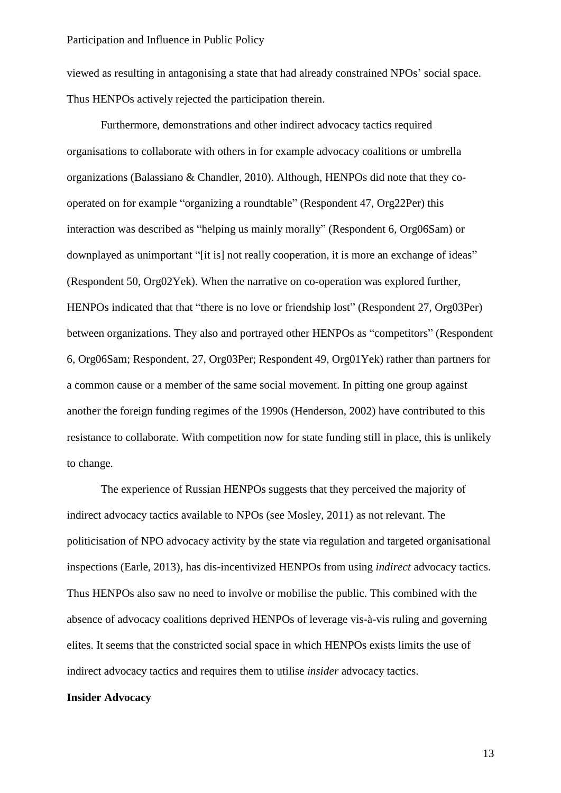viewed as resulting in antagonising a state that had already constrained NPOs' social space. Thus HENPOs actively rejected the participation therein.

Furthermore, demonstrations and other indirect advocacy tactics required organisations to collaborate with others in for example advocacy coalitions or umbrella organizations (Balassiano & Chandler, 2010). Although, HENPOs did note that they cooperated on for example "organizing a roundtable" (Respondent 47, Org22Per) this interaction was described as "helping us mainly morally" (Respondent 6, Org06Sam) or downplayed as unimportant "[it is] not really cooperation, it is more an exchange of ideas" (Respondent 50, Org02Yek). When the narrative on co-operation was explored further, HENPOs indicated that that "there is no love or friendship lost" (Respondent 27, Org03Per) between organizations. They also and portrayed other HENPOs as "competitors" (Respondent 6, Org06Sam; Respondent, 27, Org03Per; Respondent 49, Org01Yek) rather than partners for a common cause or a member of the same social movement. In pitting one group against another the foreign funding regimes of the 1990s (Henderson, 2002) have contributed to this resistance to collaborate. With competition now for state funding still in place, this is unlikely to change.

The experience of Russian HENPOs suggests that they perceived the majority of indirect advocacy tactics available to NPOs (see Mosley, 2011) as not relevant. The politicisation of NPO advocacy activity by the state via regulation and targeted organisational inspections (Earle, 2013), has dis-incentivized HENPOs from using *indirect* advocacy tactics. Thus HENPOs also saw no need to involve or mobilise the public. This combined with the absence of advocacy coalitions deprived HENPOs of leverage vis-à-vis ruling and governing elites. It seems that the constricted social space in which HENPOs exists limits the use of indirect advocacy tactics and requires them to utilise *insider* advocacy tactics.

#### **Insider Advocacy**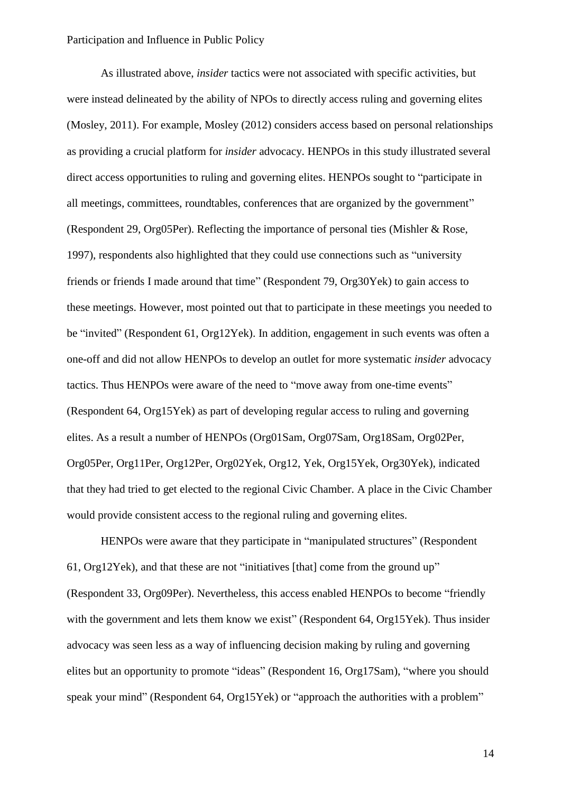As illustrated above, *insider* tactics were not associated with specific activities, but were instead delineated by the ability of NPOs to directly access ruling and governing elites (Mosley, 2011). For example, Mosley (2012) considers access based on personal relationships as providing a crucial platform for *insider* advocacy. HENPOs in this study illustrated several direct access opportunities to ruling and governing elites. HENPOs sought to "participate in all meetings, committees, roundtables, conferences that are organized by the government" (Respondent 29, Org05Per). Reflecting the importance of personal ties (Mishler & Rose, 1997), respondents also highlighted that they could use connections such as "university friends or friends I made around that time" (Respondent 79, Org30Yek) to gain access to these meetings. However, most pointed out that to participate in these meetings you needed to be "invited" (Respondent 61, Org12Yek). In addition, engagement in such events was often a one-off and did not allow HENPOs to develop an outlet for more systematic *insider* advocacy tactics. Thus HENPOs were aware of the need to "move away from one-time events" (Respondent 64, Org15Yek) as part of developing regular access to ruling and governing elites. As a result a number of HENPOs (Org01Sam, Org07Sam, Org18Sam, Org02Per, Org05Per, Org11Per, Org12Per, Org02Yek, Org12, Yek, Org15Yek, Org30Yek), indicated that they had tried to get elected to the regional Civic Chamber. A place in the Civic Chamber would provide consistent access to the regional ruling and governing elites.

HENPOs were aware that they participate in "manipulated structures" (Respondent 61, Org12Yek), and that these are not "initiatives [that] come from the ground up" (Respondent 33, Org09Per). Nevertheless, this access enabled HENPOs to become "friendly with the government and lets them know we exist" (Respondent 64, Org15Yek). Thus insider advocacy was seen less as a way of influencing decision making by ruling and governing elites but an opportunity to promote "ideas" (Respondent 16, Org17Sam), "where you should speak your mind" (Respondent 64, Org15Yek) or "approach the authorities with a problem"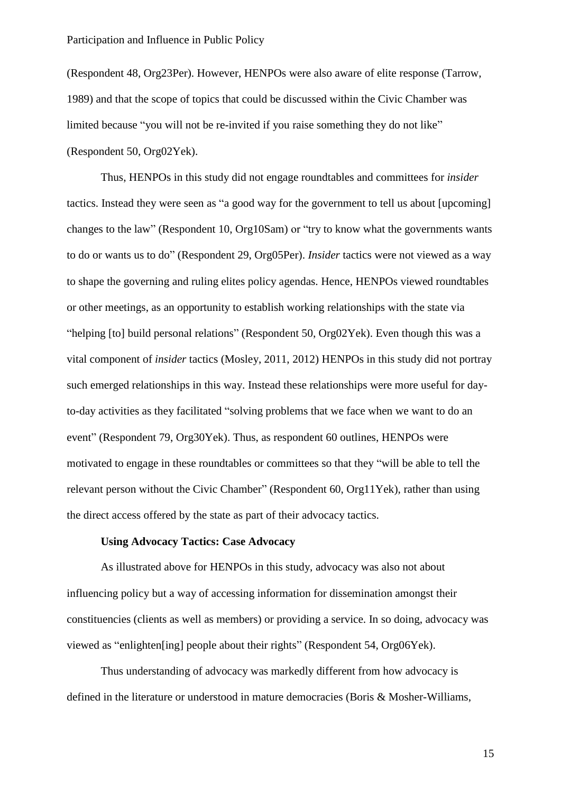(Respondent 48, Org23Per). However, HENPOs were also aware of elite response (Tarrow, 1989) and that the scope of topics that could be discussed within the Civic Chamber was limited because "you will not be re-invited if you raise something they do not like" (Respondent 50, Org02Yek).

Thus, HENPOs in this study did not engage roundtables and committees for *insider* tactics. Instead they were seen as "a good way for the government to tell us about [upcoming] changes to the law" (Respondent 10, Org10Sam) or "try to know what the governments wants to do or wants us to do" (Respondent 29, Org05Per). *Insider* tactics were not viewed as a way to shape the governing and ruling elites policy agendas. Hence, HENPOs viewed roundtables or other meetings, as an opportunity to establish working relationships with the state via "helping [to] build personal relations" (Respondent 50, Org02Yek). Even though this was a vital component of *insider* tactics (Mosley, 2011, 2012) HENPOs in this study did not portray such emerged relationships in this way. Instead these relationships were more useful for dayto-day activities as they facilitated "solving problems that we face when we want to do an event" (Respondent 79, Org30Yek). Thus, as respondent 60 outlines, HENPOs were motivated to engage in these roundtables or committees so that they "will be able to tell the relevant person without the Civic Chamber" (Respondent 60, Org11Yek), rather than using the direct access offered by the state as part of their advocacy tactics.

#### **Using Advocacy Tactics: Case Advocacy**

As illustrated above for HENPOs in this study, advocacy was also not about influencing policy but a way of accessing information for dissemination amongst their constituencies (clients as well as members) or providing a service. In so doing, advocacy was viewed as "enlighten[ing] people about their rights" (Respondent 54, Org06Yek).

Thus understanding of advocacy was markedly different from how advocacy is defined in the literature or understood in mature democracies (Boris & Mosher-Williams,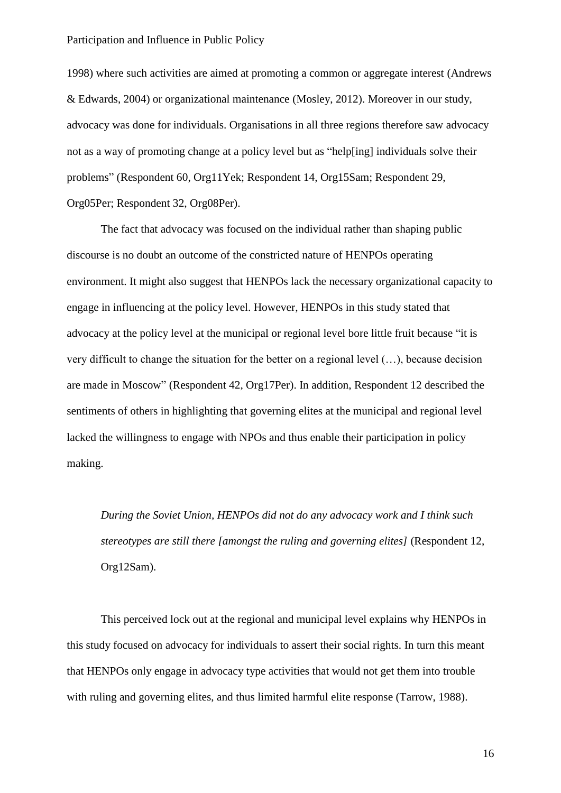1998) where such activities are aimed at promoting a common or aggregate interest (Andrews & Edwards, 2004) or organizational maintenance (Mosley, 2012). Moreover in our study, advocacy was done for individuals. Organisations in all three regions therefore saw advocacy not as a way of promoting change at a policy level but as "help[ing] individuals solve their problems" (Respondent 60, Org11Yek; Respondent 14, Org15Sam; Respondent 29, Org05Per; Respondent 32, Org08Per).

The fact that advocacy was focused on the individual rather than shaping public discourse is no doubt an outcome of the constricted nature of HENPOs operating environment. It might also suggest that HENPOs lack the necessary organizational capacity to engage in influencing at the policy level. However, HENPOs in this study stated that advocacy at the policy level at the municipal or regional level bore little fruit because "it is very difficult to change the situation for the better on a regional level (…), because decision are made in Moscow" (Respondent 42, Org17Per). In addition, Respondent 12 described the sentiments of others in highlighting that governing elites at the municipal and regional level lacked the willingness to engage with NPOs and thus enable their participation in policy making.

*During the Soviet Union, HENPOs did not do any advocacy work and I think such stereotypes are still there [amongst the ruling and governing elites]* (Respondent 12, Org12Sam).

This perceived lock out at the regional and municipal level explains why HENPOs in this study focused on advocacy for individuals to assert their social rights. In turn this meant that HENPOs only engage in advocacy type activities that would not get them into trouble with ruling and governing elites, and thus limited harmful elite response (Tarrow, 1988).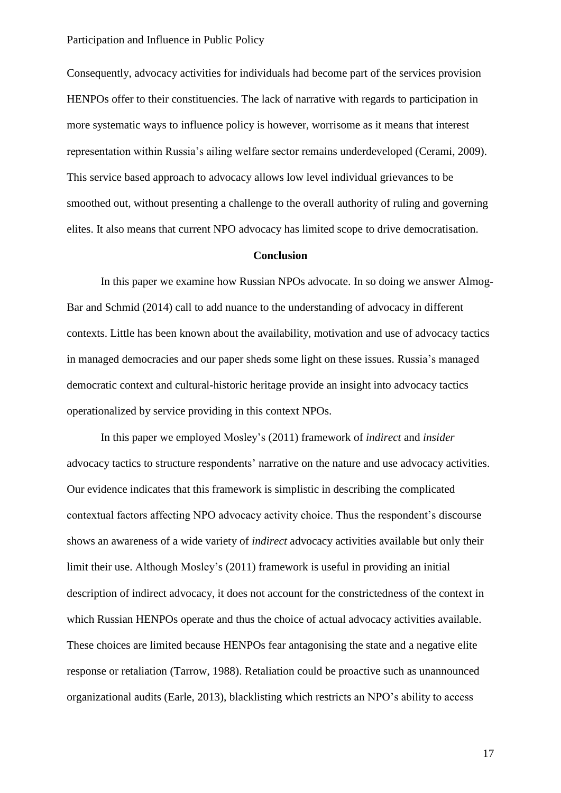Consequently, advocacy activities for individuals had become part of the services provision HENPOs offer to their constituencies. The lack of narrative with regards to participation in more systematic ways to influence policy is however, worrisome as it means that interest representation within Russia's ailing welfare sector remains underdeveloped (Cerami, 2009). This service based approach to advocacy allows low level individual grievances to be smoothed out, without presenting a challenge to the overall authority of ruling and governing elites. It also means that current NPO advocacy has limited scope to drive democratisation.

#### **Conclusion**

In this paper we examine how Russian NPOs advocate. In so doing we answer Almog-Bar and Schmid (2014) call to add nuance to the understanding of advocacy in different contexts. Little has been known about the availability, motivation and use of advocacy tactics in managed democracies and our paper sheds some light on these issues. Russia's managed democratic context and cultural-historic heritage provide an insight into advocacy tactics operationalized by service providing in this context NPOs.

In this paper we employed Mosley's (2011) framework of *indirect* and *insider* advocacy tactics to structure respondents' narrative on the nature and use advocacy activities. Our evidence indicates that this framework is simplistic in describing the complicated contextual factors affecting NPO advocacy activity choice. Thus the respondent's discourse shows an awareness of a wide variety of *indirect* advocacy activities available but only their limit their use. Although Mosley's (2011) framework is useful in providing an initial description of indirect advocacy, it does not account for the constrictedness of the context in which Russian HENPOs operate and thus the choice of actual advocacy activities available. These choices are limited because HENPOs fear antagonising the state and a negative elite response or retaliation (Tarrow, 1988). Retaliation could be proactive such as unannounced organizational audits (Earle, 2013), blacklisting which restricts an NPO's ability to access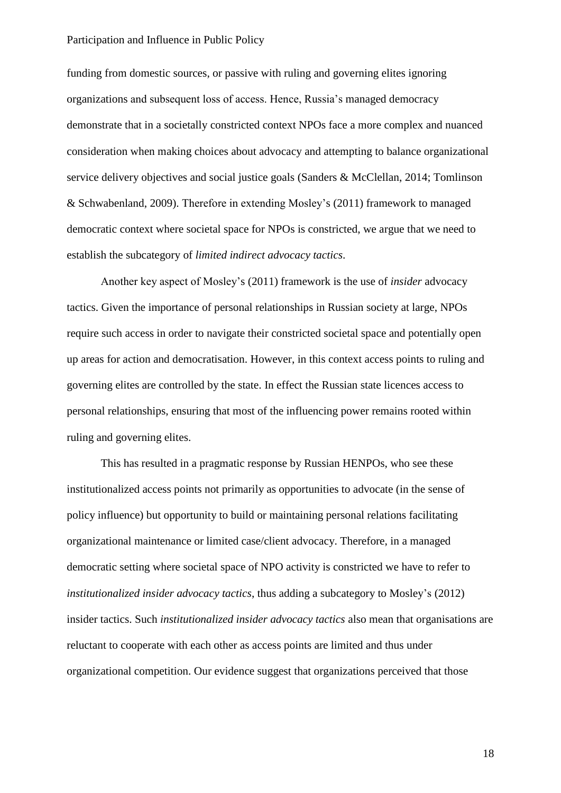funding from domestic sources, or passive with ruling and governing elites ignoring organizations and subsequent loss of access. Hence, Russia's managed democracy demonstrate that in a societally constricted context NPOs face a more complex and nuanced consideration when making choices about advocacy and attempting to balance organizational service delivery objectives and social justice goals (Sanders & McClellan, 2014; Tomlinson & Schwabenland, 2009). Therefore in extending Mosley's (2011) framework to managed democratic context where societal space for NPOs is constricted, we argue that we need to establish the subcategory of *limited indirect advocacy tactics*.

Another key aspect of Mosley's (2011) framework is the use of *insider* advocacy tactics. Given the importance of personal relationships in Russian society at large, NPOs require such access in order to navigate their constricted societal space and potentially open up areas for action and democratisation. However, in this context access points to ruling and governing elites are controlled by the state. In effect the Russian state licences access to personal relationships, ensuring that most of the influencing power remains rooted within ruling and governing elites.

This has resulted in a pragmatic response by Russian HENPOs, who see these institutionalized access points not primarily as opportunities to advocate (in the sense of policy influence) but opportunity to build or maintaining personal relations facilitating organizational maintenance or limited case/client advocacy. Therefore, in a managed democratic setting where societal space of NPO activity is constricted we have to refer to *institutionalized insider advocacy tactics*, thus adding a subcategory to Mosley's (2012) insider tactics. Such *institutionalized insider advocacy tactics* also mean that organisations are reluctant to cooperate with each other as access points are limited and thus under organizational competition. Our evidence suggest that organizations perceived that those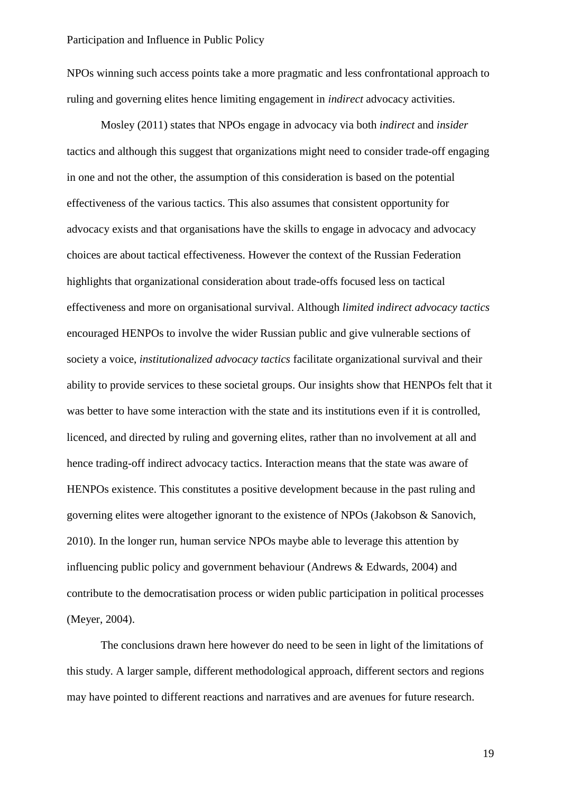NPOs winning such access points take a more pragmatic and less confrontational approach to ruling and governing elites hence limiting engagement in *indirect* advocacy activities.

Mosley (2011) states that NPOs engage in advocacy via both *indirect* and *insider* tactics and although this suggest that organizations might need to consider trade-off engaging in one and not the other, the assumption of this consideration is based on the potential effectiveness of the various tactics. This also assumes that consistent opportunity for advocacy exists and that organisations have the skills to engage in advocacy and advocacy choices are about tactical effectiveness. However the context of the Russian Federation highlights that organizational consideration about trade-offs focused less on tactical effectiveness and more on organisational survival. Although *limited indirect advocacy tactics* encouraged HENPOs to involve the wider Russian public and give vulnerable sections of society a voice, *institutionalized advocacy tactics* facilitate organizational survival and their ability to provide services to these societal groups. Our insights show that HENPOs felt that it was better to have some interaction with the state and its institutions even if it is controlled, licenced, and directed by ruling and governing elites, rather than no involvement at all and hence trading-off indirect advocacy tactics. Interaction means that the state was aware of HENPOs existence. This constitutes a positive development because in the past ruling and governing elites were altogether ignorant to the existence of NPOs (Jakobson & Sanovich, 2010). In the longer run, human service NPOs maybe able to leverage this attention by influencing public policy and government behaviour (Andrews & Edwards, 2004) and contribute to the democratisation process or widen public participation in political processes (Meyer, 2004).

The conclusions drawn here however do need to be seen in light of the limitations of this study. A larger sample, different methodological approach, different sectors and regions may have pointed to different reactions and narratives and are avenues for future research.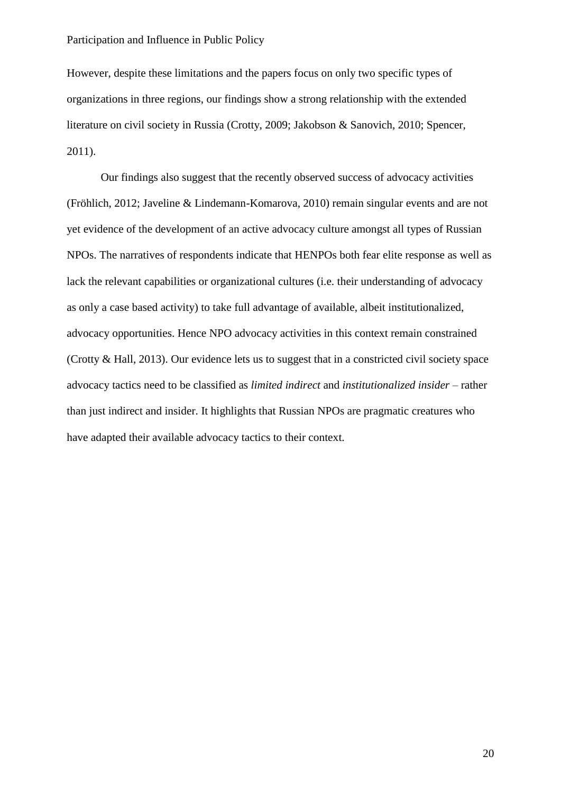However, despite these limitations and the papers focus on only two specific types of organizations in three regions, our findings show a strong relationship with the extended literature on civil society in Russia (Crotty, 2009; Jakobson & Sanovich, 2010; Spencer, 2011).

Our findings also suggest that the recently observed success of advocacy activities (Fröhlich, 2012; Javeline & Lindemann-Komarova, 2010) remain singular events and are not yet evidence of the development of an active advocacy culture amongst all types of Russian NPOs. The narratives of respondents indicate that HENPOs both fear elite response as well as lack the relevant capabilities or organizational cultures (i.e. their understanding of advocacy as only a case based activity) to take full advantage of available, albeit institutionalized, advocacy opportunities. Hence NPO advocacy activities in this context remain constrained (Crotty & Hall, 2013). Our evidence lets us to suggest that in a constricted civil society space advocacy tactics need to be classified as *limited indirect* and *institutionalized insider* – rather than just indirect and insider. It highlights that Russian NPOs are pragmatic creatures who have adapted their available advocacy tactics to their context.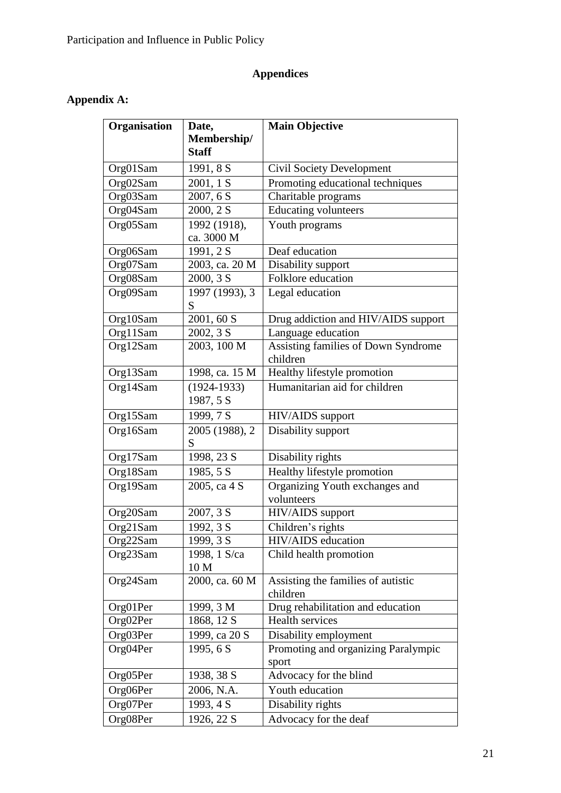## **Appendices**

### **Appendix A:**

| Organisation | Date,                      | <b>Main Objective</b>                           |
|--------------|----------------------------|-------------------------------------------------|
|              | Membership/                |                                                 |
|              | <b>Staff</b>               |                                                 |
| Org01Sam     | 1991, 8 S                  | <b>Civil Society Development</b>                |
| Org02Sam     | 2001, 1 S                  | Promoting educational techniques                |
| Org03Sam     | 2007, 6 S                  | Charitable programs                             |
| Org04Sam     | 2000, 2 S                  | <b>Educating volunteers</b>                     |
| Org05Sam     | 1992 (1918),<br>ca. 3000 M | Youth programs                                  |
| Org06Sam     | 1991, 2 S                  | Deaf education                                  |
| Org07Sam     | 2003, ca. 20 M             | Disability support                              |
| Org08Sam     | 2000, 3 S                  | Folklore education                              |
| Org09Sam     | 1997 (1993), 3<br>S        | Legal education                                 |
| Org10Sam     | 2001, 60 S                 | Drug addiction and HIV/AIDS support             |
| Org11Sam     | 2002, 3 S                  | Language education                              |
| Org12Sam     | 2003, 100 M                | Assisting families of Down Syndrome<br>children |
| Org13Sam     | 1998, ca. 15 M             | Healthy lifestyle promotion                     |
| Org14Sam     | $(1924 - 1933)$            | Humanitarian aid for children                   |
|              | 1987, 5 S                  |                                                 |
| Org15Sam     | 1999, 7 S                  | HIV/AIDS support                                |
| Org16Sam     | 2005 (1988), 2<br>S        | Disability support                              |
| Org17Sam     | 1998, 23 S                 | Disability rights                               |
| Org18Sam     | 1985, 5 S                  | Healthy lifestyle promotion                     |
| Org19Sam     | 2005, ca 4 S               | Organizing Youth exchanges and<br>volunteers    |
| Org20Sam     | 2007, 3 S                  | HIV/AIDS support                                |
| Org21Sam     | 1992, 3 S                  | Children's rights                               |
| Org22Sam     | 1999, 3 S                  | HIV/AIDS education                              |
| Org23Sam     | 1998, 1 S/ca               | Child health promotion                          |
|              | 10 M                       |                                                 |
| Org24Sam     | 2000, ca. 60 M             | Assisting the families of autistic<br>children  |
| Org01Per     | 1999, 3 M                  | Drug rehabilitation and education               |
| Org02Per     | 1868, 12 S                 | Health services                                 |
| Org03Per     | 1999, ca 20 S              | Disability employment                           |
| Org04Per     | 1995, 6 S                  | Promoting and organizing Paralympic             |
|              |                            | sport                                           |
| Org05Per     | 1938, 38 S                 | Advocacy for the blind                          |
| Org06Per     | 2006, N.A.                 | Youth education                                 |
| Org07Per     | 1993, 4 S                  | Disability rights                               |
| Org08Per     | 1926, 22 S                 | Advocacy for the deaf                           |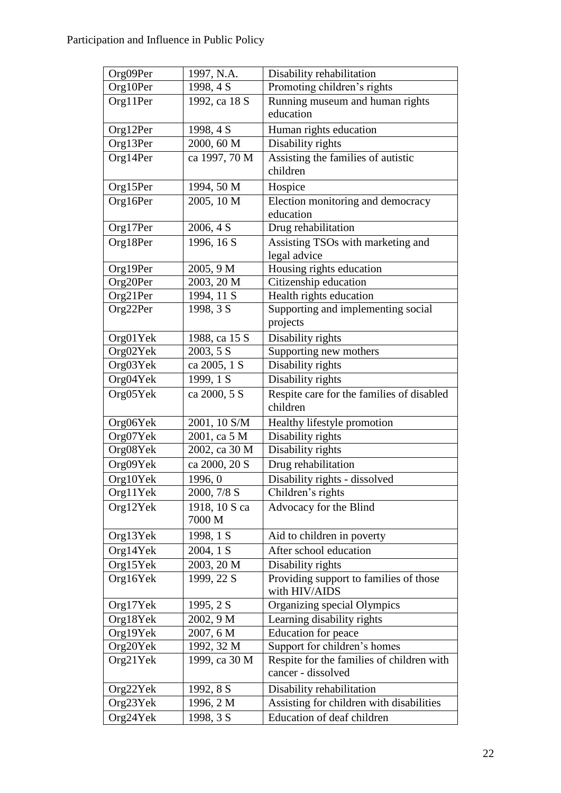| Org09Per | 1997, N.A.    | Disability rehabilitation                 |
|----------|---------------|-------------------------------------------|
| Org10Per | 1998, 4 S     | Promoting children's rights               |
| Org11Per | 1992, ca 18 S | Running museum and human rights           |
|          |               | education                                 |
| Org12Per | 1998, 4 S     | Human rights education                    |
| Org13Per | 2000, 60 M    | Disability rights                         |
| Org14Per | ca 1997, 70 M | Assisting the families of autistic        |
|          |               | children                                  |
| Org15Per | 1994, 50 M    | Hospice                                   |
| Org16Per | 2005, 10 M    | Election monitoring and democracy         |
|          |               | education                                 |
| Org17Per | 2006, 4 S     | Drug rehabilitation                       |
| Org18Per | 1996, 16 S    | Assisting TSOs with marketing and         |
|          |               | legal advice                              |
| Org19Per | 2005, 9 M     | Housing rights education                  |
| Org20Per | 2003, 20 M    | Citizenship education                     |
| Org21Per | 1994, 11 S    | Health rights education                   |
| Org22Per | 1998, 3 S     | Supporting and implementing social        |
|          |               | projects                                  |
| Org01Yek | 1988, ca 15 S | Disability rights                         |
| Org02Yek | 2003, 5 S     | Supporting new mothers                    |
| Org03Yek | ca 2005, 1 S  | Disability rights                         |
| Org04Yek | 1999, 1 S     | Disability rights                         |
| Org05Yek | ca 2000, 5 S  | Respite care for the families of disabled |
|          |               | children                                  |
| Org06Yek | 2001, 10 S/M  | Healthy lifestyle promotion               |
| Org07Yek | 2001, ca 5 M  | Disability rights                         |
| Org08Yek | 2002, ca 30 M | Disability rights                         |
| Org09Yek | ca 2000, 20 S | Drug rehabilitation                       |
| Org10Yek | 1996, 0       | Disability rights - dissolved             |
| Org11Yek | 2000, 7/8 S   | Children's rights                         |
| Org12Yek | 1918, 10 S ca | Advocacy for the Blind                    |
|          | 7000 M        |                                           |
| Org13Yek | 1998, 1 S     | Aid to children in poverty                |
| Org14Yek | 2004, 1 S     | After school education                    |
| Org15Yek | 2003, 20 M    | Disability rights                         |
| Org16Yek | 1999, 22 S    | Providing support to families of those    |
|          |               | with HIV/AIDS                             |
| Org17Yek | 1995, 2 S     | Organizing special Olympics               |
| Org18Yek | 2002, 9 M     | Learning disability rights                |
| Org19Yek | 2007, 6 M     | <b>Education</b> for peace                |
| Org20Yek | 1992, 32 M    | Support for children's homes              |
| Org21Yek | 1999, ca 30 M | Respite for the families of children with |
|          |               | cancer - dissolved                        |
| Org22Yek | 1992, 8 S     | Disability rehabilitation                 |
| Org23Yek | 1996, 2 M     | Assisting for children with disabilities  |
| Org24Yek | 1998, 3 S     | Education of deaf children                |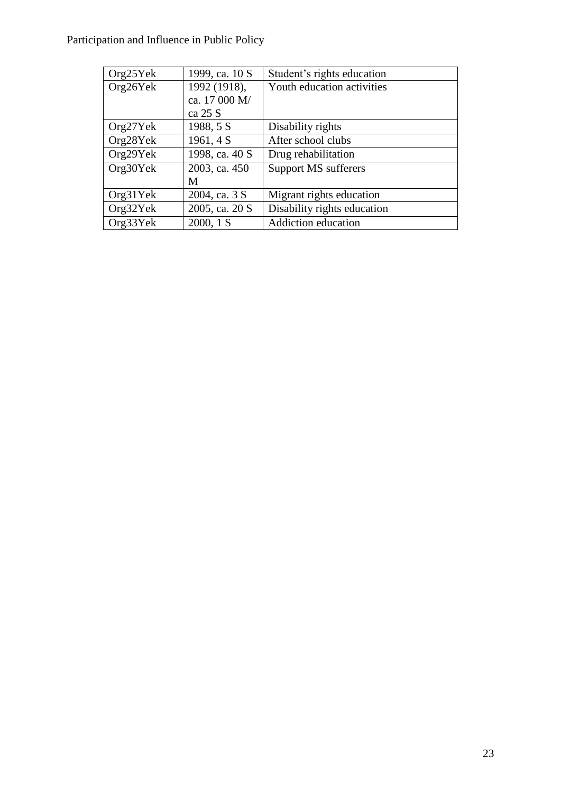| Org25Yek | 1999, ca. 10 S | Student's rights education  |
|----------|----------------|-----------------------------|
| Org26Yek | 1992 (1918),   | Youth education activities  |
|          | ca. 17 000 M/  |                             |
|          | ca 25 S        |                             |
| Org27Yek | 1988, 5 S      | Disability rights           |
| Org28Yek | 1961, 4 S      | After school clubs          |
| Org29Yek | 1998, ca. 40 S | Drug rehabilitation         |
| Org30Yek | 2003, ca. 450  | Support MS sufferers        |
|          | M              |                             |
| Org31Yek | 2004, ca. 3 S  | Migrant rights education    |
| Org32Yek | 2005, ca. 20 S | Disability rights education |
| Org33Yek | 2000, 1 S      | Addiction education         |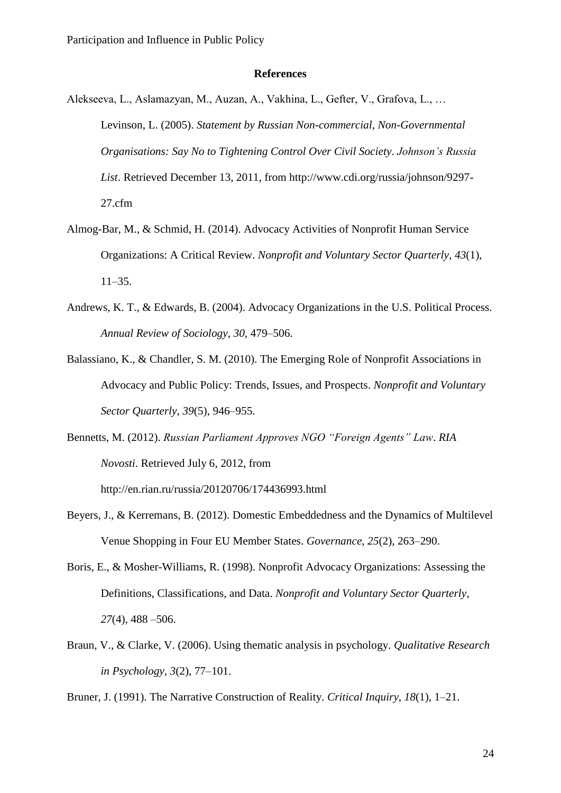#### **References**

- Alekseeva, L., Aslamazyan, M., Auzan, A., Vakhina, L., Gefter, V., Grafova, L., … Levinson, L. (2005). *Statement by Russian Non-commercial, Non-Governmental Organisations: Say No to Tightening Control Over Civil Society*. *Johnson's Russia List*. Retrieved December 13, 2011, from http://www.cdi.org/russia/johnson/9297- 27.cfm
- Almog-Bar, M., & Schmid, H. (2014). Advocacy Activities of Nonprofit Human Service Organizations: A Critical Review. *Nonprofit and Voluntary Sector Quarterly*, *43*(1), 11–35.
- Andrews, K. T., & Edwards, B. (2004). Advocacy Organizations in the U.S. Political Process. *Annual Review of Sociology*, *30*, 479–506.
- Balassiano, K., & Chandler, S. M. (2010). The Emerging Role of Nonprofit Associations in Advocacy and Public Policy: Trends, Issues, and Prospects. *Nonprofit and Voluntary Sector Quarterly*, *39*(5), 946–955.
- Bennetts, M. (2012). *Russian Parliament Approves NGO "Foreign Agents" Law*. *RIA Novosti*. Retrieved July 6, 2012, from http://en.rian.ru/russia/20120706/174436993.html
- Beyers, J., & Kerremans, B. (2012). Domestic Embeddedness and the Dynamics of Multilevel Venue Shopping in Four EU Member States. *Governance*, *25*(2), 263–290.
- Boris, E., & Mosher-Williams, R. (1998). Nonprofit Advocacy Organizations: Assessing the Definitions, Classifications, and Data. *Nonprofit and Voluntary Sector Quarterly*, *27*(4), 488 –506.
- Braun, V., & Clarke, V. (2006). Using thematic analysis in psychology. *Qualitative Research in Psychology*, *3*(2), 77–101.
- Bruner, J. (1991). The Narrative Construction of Reality. *Critical Inquiry*, *18*(1), 1–21.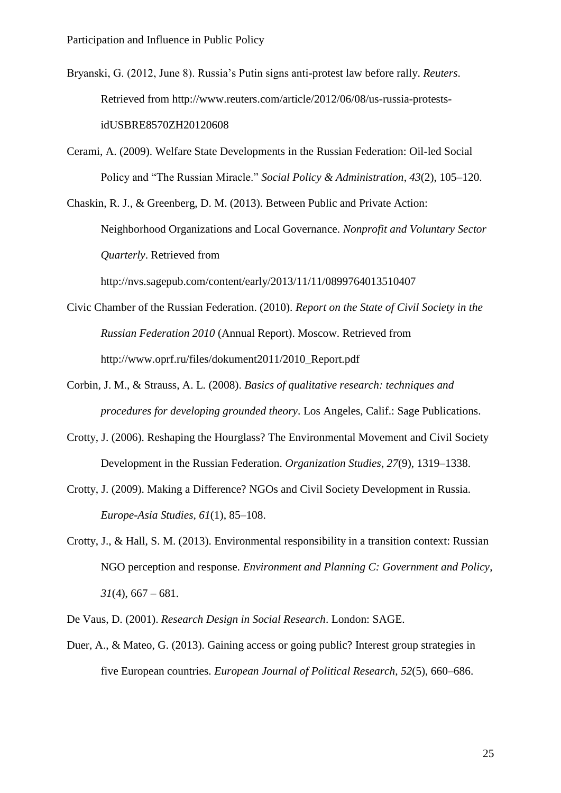- Bryanski, G. (2012, June 8). Russia's Putin signs anti-protest law before rally. *Reuters*. Retrieved from http://www.reuters.com/article/2012/06/08/us-russia-protestsidUSBRE8570ZH20120608
- Cerami, A. (2009). Welfare State Developments in the Russian Federation: Oil-led Social Policy and "The Russian Miracle." *Social Policy & Administration*, *43*(2), 105–120.

Chaskin, R. J., & Greenberg, D. M. (2013). Between Public and Private Action: Neighborhood Organizations and Local Governance. *Nonprofit and Voluntary Sector Quarterly*. Retrieved from http://nvs.sagepub.com/content/early/2013/11/11/0899764013510407

- Civic Chamber of the Russian Federation. (2010). *Report on the State of Civil Society in the Russian Federation 2010* (Annual Report). Moscow. Retrieved from http://www.oprf.ru/files/dokument2011/2010\_Report.pdf
- Corbin, J. M., & Strauss, A. L. (2008). *Basics of qualitative research: techniques and procedures for developing grounded theory*. Los Angeles, Calif.: Sage Publications.
- Crotty, J. (2006). Reshaping the Hourglass? The Environmental Movement and Civil Society Development in the Russian Federation. *Organization Studies*, *27*(9), 1319–1338.
- Crotty, J. (2009). Making a Difference? NGOs and Civil Society Development in Russia. *Europe-Asia Studies*, *61*(1), 85–108.
- Crotty, J., & Hall, S. M. (2013). Environmental responsibility in a transition context: Russian NGO perception and response. *Environment and Planning C: Government and Policy*,  $31(4)$ , 667 – 681.
- De Vaus, D. (2001). *Research Design in Social Research*. London: SAGE.
- Duer, A., & Mateo, G. (2013). Gaining access or going public? Interest group strategies in five European countries. *European Journal of Political Research*, *52*(5), 660–686.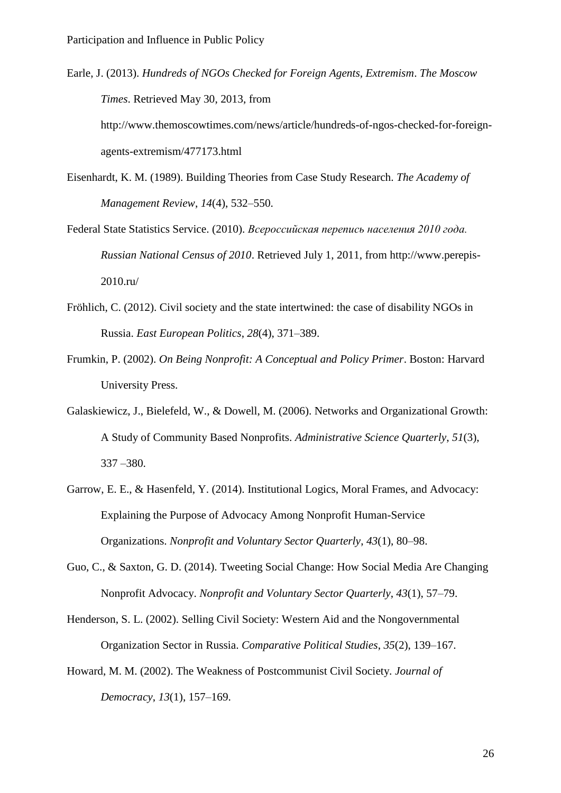- Earle, J. (2013). *Hundreds of NGOs Checked for Foreign Agents, Extremism*. *The Moscow Times*. Retrieved May 30, 2013, from http://www.themoscowtimes.com/news/article/hundreds-of-ngos-checked-for-foreignagents-extremism/477173.html
- Eisenhardt, K. M. (1989). Building Theories from Case Study Research. *The Academy of Management Review*, *14*(4), 532–550.
- Federal State Statistics Service. (2010). *Всероссийская перепись населения 2010 года. Russian National Census of 2010*. Retrieved July 1, 2011, from http://www.perepis-2010.ru/
- Fröhlich, C. (2012). Civil society and the state intertwined: the case of disability NGOs in Russia. *East European Politics*, *28*(4), 371–389.
- Frumkin, P. (2002). *On Being Nonprofit: A Conceptual and Policy Primer*. Boston: Harvard University Press.
- Galaskiewicz, J., Bielefeld, W., & Dowell, M. (2006). Networks and Organizational Growth: A Study of Community Based Nonprofits. *Administrative Science Quarterly*, *51*(3), 337 –380.
- Garrow, E. E., & Hasenfeld, Y. (2014). Institutional Logics, Moral Frames, and Advocacy: Explaining the Purpose of Advocacy Among Nonprofit Human-Service Organizations. *Nonprofit and Voluntary Sector Quarterly*, *43*(1), 80–98.
- Guo, C., & Saxton, G. D. (2014). Tweeting Social Change: How Social Media Are Changing Nonprofit Advocacy. *Nonprofit and Voluntary Sector Quarterly*, *43*(1), 57–79.
- Henderson, S. L. (2002). Selling Civil Society: Western Aid and the Nongovernmental Organization Sector in Russia. *Comparative Political Studies*, *35*(2), 139–167.
- Howard, M. M. (2002). The Weakness of Postcommunist Civil Society. *Journal of Democracy*, *13*(1), 157–169.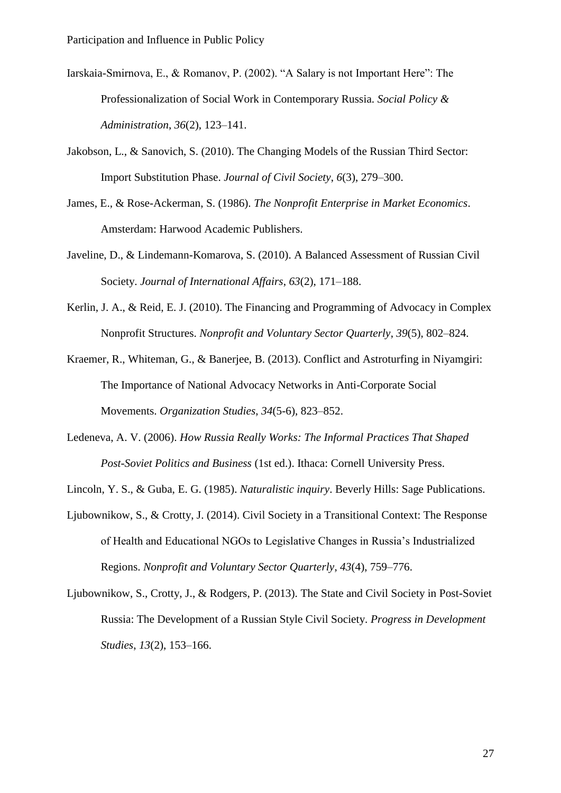- Iarskaia-Smirnova, E., & Romanov, P. (2002). "A Salary is not Important Here": The Professionalization of Social Work in Contemporary Russia. *Social Policy & Administration*, *36*(2), 123–141.
- Jakobson, L., & Sanovich, S. (2010). The Changing Models of the Russian Third Sector: Import Substitution Phase. *Journal of Civil Society*, *6*(3), 279–300.
- James, E., & Rose-Ackerman, S. (1986). *The Nonprofit Enterprise in Market Economics*. Amsterdam: Harwood Academic Publishers.
- Javeline, D., & Lindemann-Komarova, S. (2010). A Balanced Assessment of Russian Civil Society. *Journal of International Affairs*, *63*(2), 171–188.
- Kerlin, J. A., & Reid, E. J. (2010). The Financing and Programming of Advocacy in Complex Nonprofit Structures. *Nonprofit and Voluntary Sector Quarterly*, *39*(5), 802–824.
- Kraemer, R., Whiteman, G., & Banerjee, B. (2013). Conflict and Astroturfing in Niyamgiri: The Importance of National Advocacy Networks in Anti-Corporate Social Movements. *Organization Studies*, *34*(5-6), 823–852.
- Ledeneva, A. V. (2006). *How Russia Really Works: The Informal Practices That Shaped Post-Soviet Politics and Business* (1st ed.). Ithaca: Cornell University Press.
- Lincoln, Y. S., & Guba, E. G. (1985). *Naturalistic inquiry*. Beverly Hills: Sage Publications.
- Ljubownikow, S., & Crotty, J. (2014). Civil Society in a Transitional Context: The Response of Health and Educational NGOs to Legislative Changes in Russia's Industrialized Regions. *Nonprofit and Voluntary Sector Quarterly*, *43*(4), 759–776.
- Ljubownikow, S., Crotty, J., & Rodgers, P. (2013). The State and Civil Society in Post-Soviet Russia: The Development of a Russian Style Civil Society. *Progress in Development Studies*, *13*(2), 153–166.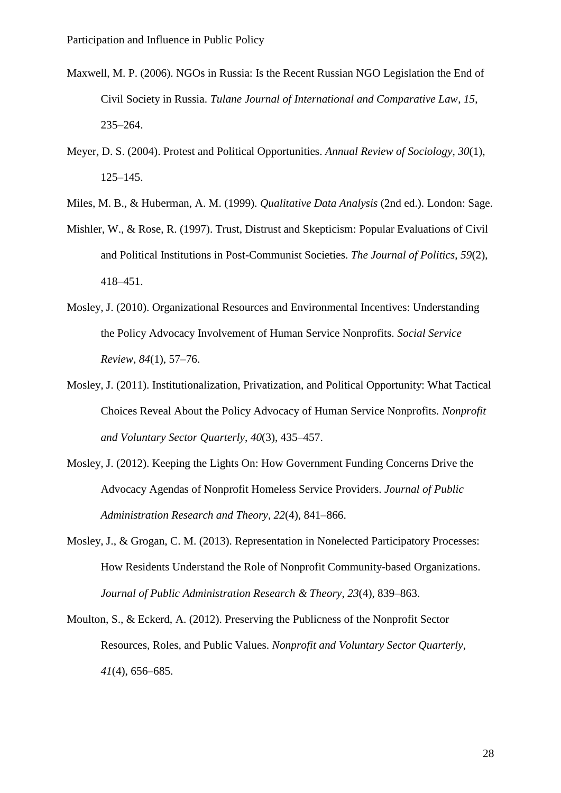- Maxwell, M. P. (2006). NGOs in Russia: Is the Recent Russian NGO Legislation the End of Civil Society in Russia. *Tulane Journal of International and Comparative Law*, *15*, 235–264.
- Meyer, D. S. (2004). Protest and Political Opportunities. *Annual Review of Sociology*, *30*(1), 125–145.
- Miles, M. B., & Huberman, A. M. (1999). *Qualitative Data Analysis* (2nd ed.). London: Sage.
- Mishler, W., & Rose, R. (1997). Trust, Distrust and Skepticism: Popular Evaluations of Civil and Political Institutions in Post-Communist Societies. *The Journal of Politics*, *59*(2), 418–451.
- Mosley, J. (2010). Organizational Resources and Environmental Incentives: Understanding the Policy Advocacy Involvement of Human Service Nonprofits. *Social Service Review*, *84*(1), 57–76.
- Mosley, J. (2011). Institutionalization, Privatization, and Political Opportunity: What Tactical Choices Reveal About the Policy Advocacy of Human Service Nonprofits. *Nonprofit and Voluntary Sector Quarterly*, *40*(3), 435–457.
- Mosley, J. (2012). Keeping the Lights On: How Government Funding Concerns Drive the Advocacy Agendas of Nonprofit Homeless Service Providers. *Journal of Public Administration Research and Theory*, *22*(4), 841–866.
- Mosley, J., & Grogan, C. M. (2013). Representation in Nonelected Participatory Processes: How Residents Understand the Role of Nonprofit Community-based Organizations. *Journal of Public Administration Research & Theory*, *23*(4), 839–863.
- Moulton, S., & Eckerd, A. (2012). Preserving the Publicness of the Nonprofit Sector Resources, Roles, and Public Values. *Nonprofit and Voluntary Sector Quarterly*, *41*(4), 656–685.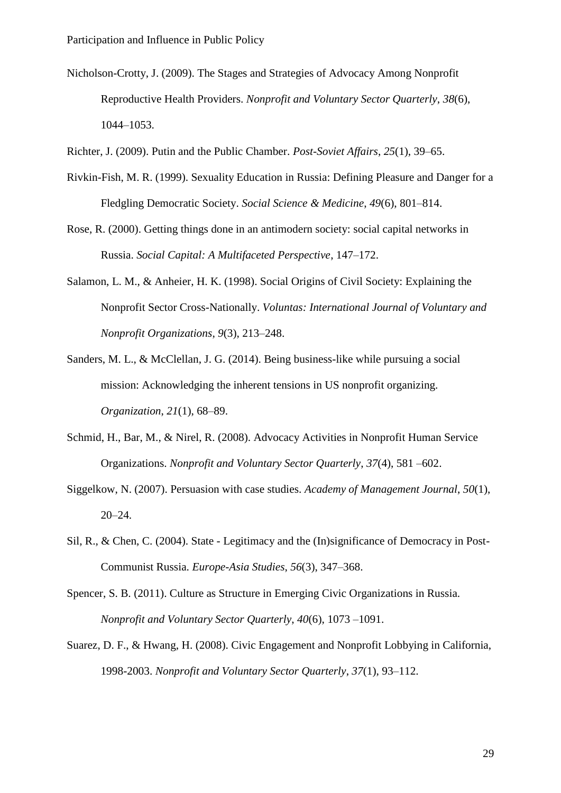- Nicholson-Crotty, J. (2009). The Stages and Strategies of Advocacy Among Nonprofit Reproductive Health Providers. *Nonprofit and Voluntary Sector Quarterly*, *38*(6), 1044–1053.
- Richter, J. (2009). Putin and the Public Chamber. *Post-Soviet Affairs*, *25*(1), 39–65.
- Rivkin-Fish, M. R. (1999). Sexuality Education in Russia: Defining Pleasure and Danger for a Fledgling Democratic Society. *Social Science & Medicine*, *49*(6), 801–814.
- Rose, R. (2000). Getting things done in an antimodern society: social capital networks in Russia. *Social Capital: A Multifaceted Perspective*, 147–172.
- Salamon, L. M., & Anheier, H. K. (1998). Social Origins of Civil Society: Explaining the Nonprofit Sector Cross-Nationally. *Voluntas: International Journal of Voluntary and Nonprofit Organizations*, *9*(3), 213–248.
- Sanders, M. L., & McClellan, J. G. (2014). Being business-like while pursuing a social mission: Acknowledging the inherent tensions in US nonprofit organizing. *Organization*, *21*(1), 68–89.
- Schmid, H., Bar, M., & Nirel, R. (2008). Advocacy Activities in Nonprofit Human Service Organizations. *Nonprofit and Voluntary Sector Quarterly*, *37*(4), 581 –602.
- Siggelkow, N. (2007). Persuasion with case studies. *Academy of Management Journal*, *50*(1), 20–24.
- Sil, R., & Chen, C. (2004). State Legitimacy and the (In)significance of Democracy in Post-Communist Russia. *Europe-Asia Studies*, *56*(3), 347–368.
- Spencer, S. B. (2011). Culture as Structure in Emerging Civic Organizations in Russia. *Nonprofit and Voluntary Sector Quarterly*, *40*(6), 1073 –1091.
- Suarez, D. F., & Hwang, H. (2008). Civic Engagement and Nonprofit Lobbying in California, 1998-2003. *Nonprofit and Voluntary Sector Quarterly*, *37*(1), 93–112.